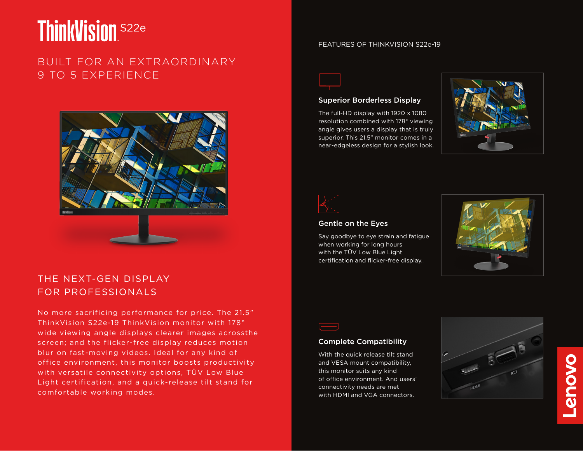## **ThinkVision** s22e

### BUILT FOR AN EXTRAORDINARY 9 TO 5 EXPERIENCE



#### THE NEXT-GEN DISPLAY FOR PROFESSIONALS

No more sacrificing performance for price. The 21.5" ThinkVision S22e-19 ThinkVision monitor with 178° wide viewing angle displays clearer images acrossthe screen; and the flicker-free display reduces motion blur on fast-moving videos. Ideal for any kind of office environment, this monitor boosts productivity with versatile connectivity options, TÜV Low Blue Light certification, and a quick-release tilt stand for comfortable working modes.

#### FEATURES OF THINKVISION S22e-19



#### Superior Borderless Display

The full-HD display with 1920 x 1080 resolution combined with 178° viewing angle gives users a display that is truly superior. This 21.5" monitor comes in a near-edgeless design for a stylish look.





#### Gentle on the Eyes

Say goodbye to eye strain and fatigue when working for long hours with the TÜV Low Blue Light certification and flicker-free display..



#### Complete Compatibility

With the quick release tilt stand and VESA mount compatibility, this monitor suits any kind of office environment. And users' connectivity needs are met with HDMI and VGA connectors.



# **Provo**